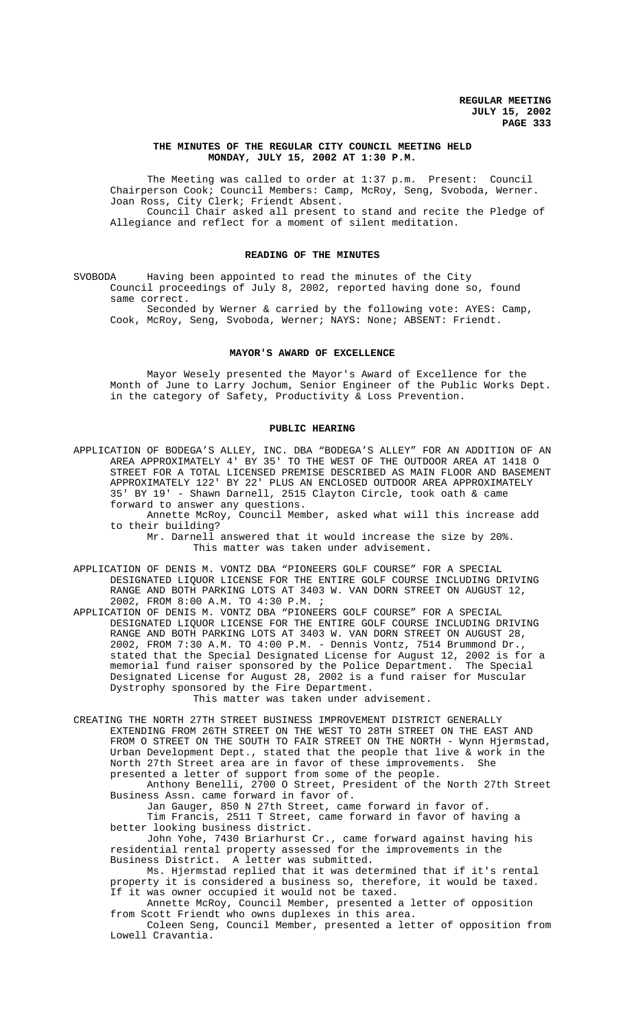### **THE MINUTES OF THE REGULAR CITY COUNCIL MEETING HELD MONDAY, JULY 15, 2002 AT 1:30 P.M.**

The Meeting was called to order at 1:37 p.m. Present: Council Chairperson Cook; Council Members: Camp, McRoy, Seng, Svoboda, Werner. Joan Ross, City Clerk; Friendt Absent. Council Chair asked all present to stand and recite the Pledge of Allegiance and reflect for a moment of silent meditation.

### **READING OF THE MINUTES**

SVOBODA Having been appointed to read the minutes of the City Council proceedings of July 8, 2002, reported having done so, found same correct.

Seconded by Werner & carried by the following vote: AYES: Camp, Cook, McRoy, Seng, Svoboda, Werner; NAYS: None; ABSENT: Friendt.

### **MAYOR'S AWARD OF EXCELLENCE**

Mayor Wesely presented the Mayor's Award of Excellence for the Month of June to Larry Jochum, Senior Engineer of the Public Works Dept. in the category of Safety, Productivity & Loss Prevention.

#### **PUBLIC HEARING**

APPLICATION OF BODEGA'S ALLEY, INC. DBA "BODEGA'S ALLEY" FOR AN ADDITION OF AN AREA APPROXIMATELY 4' BY 35' TO THE WEST OF THE OUTDOOR AREA AT 1418 O STREET FOR A TOTAL LICENSED PREMISE DESCRIBED AS MAIN FLOOR AND BASEMENT APPROXIMATELY 122' BY 22' PLUS AN ENCLOSED OUTDOOR AREA APPROXIMATELY 35' BY 19' - Shawn Darnell, 2515 Clayton Circle, took oath & came forward to answer any questions.

Annette McRoy, Council Member, asked what will this increase add to their building?

Mr. Darnell answered that it would increase the size by 20%. This matter was taken under advisement.

APPLICATION OF DENIS M. VONTZ DBA "PIONEERS GOLF COURSE" FOR A SPECIAL DESIGNATED LIQUOR LICENSE FOR THE ENTIRE GOLF COURSE INCLUDING DRIVING RANGE AND BOTH PARKING LOTS AT 3403 W. VAN DORN STREET ON AUGUST 12, 2002, FROM 8:00 A.M. TO 4:30 P.M. ;

APPLICATION OF DENIS M. VONTZ DBA "PIONEERS GOLF COURSE" FOR A SPECIAL DESIGNATED LIQUOR LICENSE FOR THE ENTIRE GOLF COURSE INCLUDING DRIVING RANGE AND BOTH PARKING LOTS AT 3403 W. VAN DORN STREET ON AUGUST 28, 2002, FROM 7:30 A.M. TO 4:00 P.M. - Dennis Vontz, 7514 Brummond Dr., stated that the Special Designated License for August 12, 2002 is for a<br>memorial fund raiser sponsored by the Police Department. The Special memorial fund raiser sponsored by the Police Department. The Special Designated License for August 28, 2002 is a fund raiser for Muscular Dystrophy sponsored by the Fire Department.

This matter was taken under advisement.

CREATING THE NORTH 27TH STREET BUSINESS IMPROVEMENT DISTRICT GENERALLY EXTENDING FROM 26TH STREET ON THE WEST TO 28TH STREET ON THE EAST AND FROM O STREET ON THE SOUTH TO FAIR STREET ON THE NORTH - Wynn Hjermstad, Urban Development Dept., stated that the people that live & work in the North 27th Street area are in favor of these improvements. She presented a letter of support from some of the people.

Anthony Benelli, 2700 O Street, President of the North 27th Street Business Assn. came forward in favor of.

Jan Gauger, 850 N 27th Street, came forward in favor of. Tim Francis, 2511 T Street, came forward in favor of having a better looking business district.

John Yohe, 7430 Briarhurst Cr., came forward against having his residential rental property assessed for the improvements in the Business District. A letter was submitted.

Ms. Hjermstad replied that it was determined that if it's rental property it is considered a business so, therefore, it would be taxed. If it was owner occupied it would not be taxed.

Annette McRoy, Council Member, presented a letter of opposition from Scott Friendt who owns duplexes in this area.

Coleen Seng, Council Member, presented a letter of opposition from Lowell Cravantia.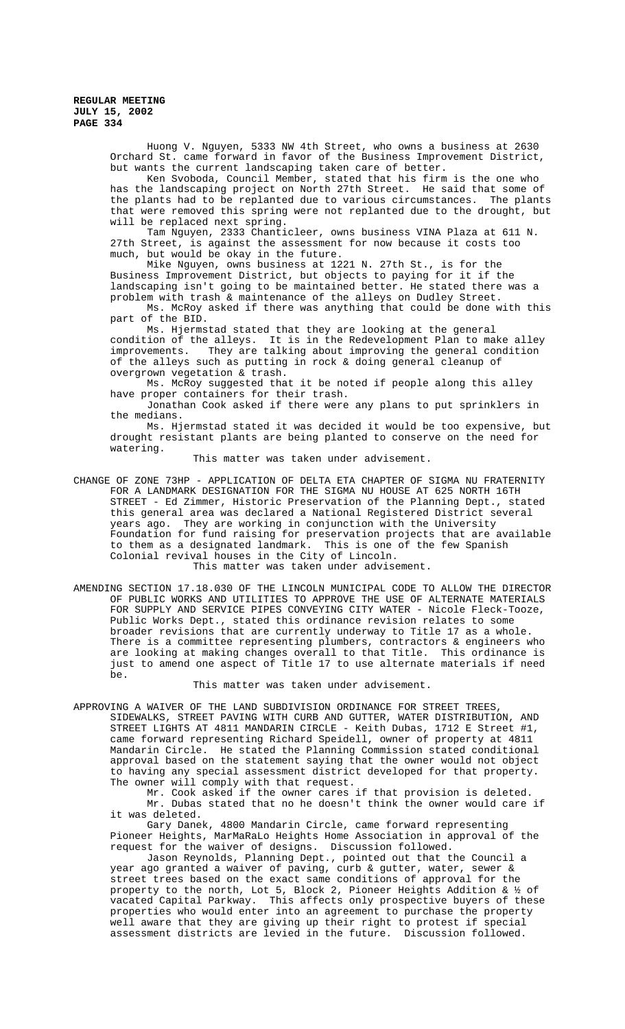Huong V. Nguyen, 5333 NW 4th Street, who owns a business at 2630 Orchard St. came forward in favor of the Business Improvement District, but wants the current landscaping taken care of better.

Ken Svoboda, Council Member, stated that his firm is the one who has the landscaping project on North 27th Street. He said that some of the plants had to be replanted due to various circumstances. The plants that were removed this spring were not replanted due to the drought, but will be replaced next spring.

Tam Nguyen, 2333 Chanticleer, owns business VINA Plaza at 611 N. 27th Street, is against the assessment for now because it costs too much, but would be okay in the future.

Mike Nguyen, owns business at 1221 N. 27th St., is for the Business Improvement District, but objects to paying for it if the landscaping isn't going to be maintained better. He stated there was a problem with trash & maintenance of the alleys on Dudley Street.

Ms. McRoy asked if there was anything that could be done with this part of the BID.

Ms. Hjermstad stated that they are looking at the general condition of the alleys. It is in the Redevelopment Plan to make alley<br>improvements. They are talking about improving the general condition They are talking about improving the general condition of the alleys such as putting in rock & doing general cleanup of overgrown vegetation & trash.

Ms. McRoy suggested that it be noted if people along this alley have proper containers for their trash.

Jonathan Cook asked if there were any plans to put sprinklers in the medians.

Ms. Hjermstad stated it was decided it would be too expensive, but drought resistant plants are being planted to conserve on the need for watering.

This matter was taken under advisement.

CHANGE OF ZONE 73HP - APPLICATION OF DELTA ETA CHAPTER OF SIGMA NU FRATERNITY FOR A LANDMARK DESIGNATION FOR THE SIGMA NU HOUSE AT 625 NORTH 16TH STREET - Ed Zimmer, Historic Preservation of the Planning Dept., stated this general area was declared a National Registered District several years ago. They are working in conjunction with the University Foundation for fund raising for preservation projects that are available to them as a designated landmark. This is one of the few Spanish Colonial revival houses in the City of Lincoln.

This matter was taken under advisement.

AMENDING SECTION 17.18.030 OF THE LINCOLN MUNICIPAL CODE TO ALLOW THE DIRECTOR OF PUBLIC WORKS AND UTILITIES TO APPROVE THE USE OF ALTERNATE MATERIALS FOR SUPPLY AND SERVICE PIPES CONVEYING CITY WATER - Nicole Fleck-Tooze, Public Works Dept., stated this ordinance revision relates to some broader revisions that are currently underway to Title 17 as a whole. There is a committee representing plumbers, contractors & engineers who are looking at making changes overall to that Title. This ordinance is just to amend one aspect of Title 17 to use alternate materials if need be.

### This matter was taken under advisement.

APPROVING A WAIVER OF THE LAND SUBDIVISION ORDINANCE FOR STREET TREES, SIDEWALKS, STREET PAVING WITH CURB AND GUTTER, WATER DISTRIBUTION, AND STREET LIGHTS AT 4811 MANDARIN CIRCLE - Keith Dubas, 1712 E Street #1, came forward representing Richard Speidell, owner of property at 4811 Mandarin Circle. He stated the Planning Commission stated conditional approval based on the statement saying that the owner would not object to having any special assessment district developed for that property. The owner will comply with that request.

Mr. Cook asked if the owner cares if that provision is deleted. Mr. Dubas stated that no he doesn't think the owner would care if it was deleted.

Gary Danek, 4800 Mandarin Circle, came forward representing Pioneer Heights, MarMaRaLo Heights Home Association in approval of the request for the waiver of designs. Discussion followed.

Jason Reynolds, Planning Dept., pointed out that the Council a year ago granted a waiver of paving, curb & gutter, water, sewer & street trees based on the exact same conditions of approval for the property to the north, Lot 5, Block 2, Pioneer Heights Addition & ½ of vacated Capital Parkway. This affects only prospective buyers of these properties who would enter into an agreement to purchase the property well aware that they are giving up their right to protest if special assessment districts are levied in the future. Discussion followed.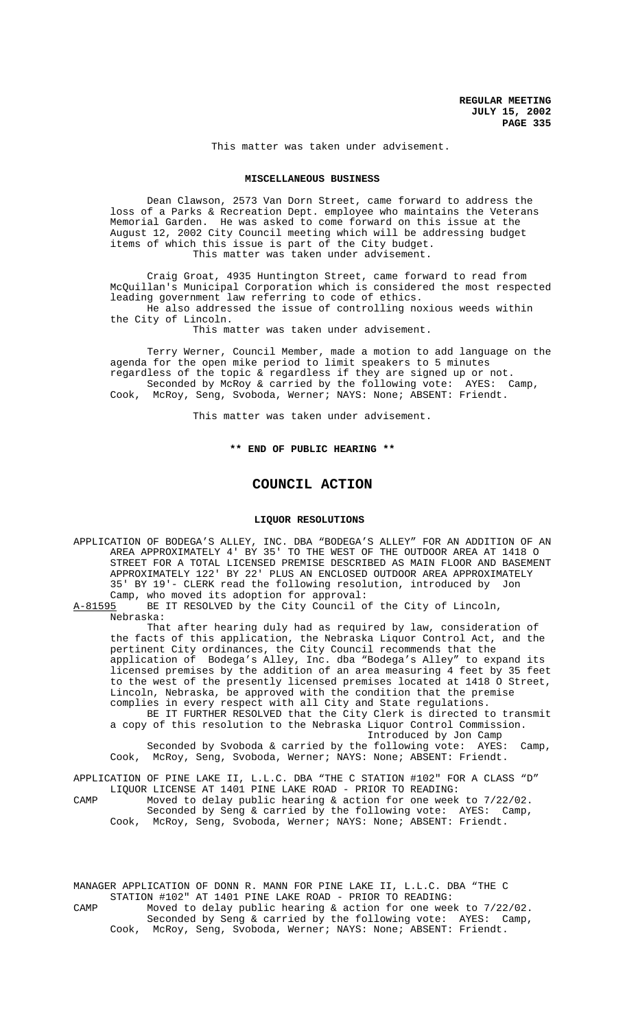This matter was taken under advisement.

#### **MISCELLANEOUS BUSINESS**

Dean Clawson, 2573 Van Dorn Street, came forward to address the loss of a Parks & Recreation Dept. employee who maintains the Veterans Memorial Garden. He was asked to come forward on this issue at the August 12, 2002 City Council meeting which will be addressing budget items of which this issue is part of the City budget. This matter was taken under advisement.

Craig Groat, 4935 Huntington Street, came forward to read from McQuillan's Municipal Corporation which is considered the most respected leading government law referring to code of ethics.

He also addressed the issue of controlling noxious weeds within the City of Lincoln.

This matter was taken under advisement.

Terry Werner, Council Member, made a motion to add language on the agenda for the open mike period to limit speakers to 5 minutes regardless of the topic & regardless if they are signed up or not. Seconded by McRoy & carried by the following vote: AYES: Camp, Cook, McRoy, Seng, Svoboda, Werner; NAYS: None; ABSENT: Friendt.

This matter was taken under advisement.

# **\*\* END OF PUBLIC HEARING \*\***

## **COUNCIL ACTION**

#### **LIQUOR RESOLUTIONS**

APPLICATION OF BODEGA'S ALLEY, INC. DBA "BODEGA'S ALLEY" FOR AN ADDITION OF AN AREA APPROXIMATELY 4' BY 35' TO THE WEST OF THE OUTDOOR AREA AT 1418 O STREET FOR A TOTAL LICENSED PREMISE DESCRIBED AS MAIN FLOOR AND BASEMENT APPROXIMATELY 122' BY 22' PLUS AN ENCLOSED OUTDOOR AREA APPROXIMATELY 35' BY 19'- CLERK read the following resolution, introduced by Jon Camp, who moved its adoption for approval:<br>A-81595 BE IT RESOLVED by the City Council o

BE IT RESOLVED by the City Council of the City of Lincoln, Nebraska:

That after hearing duly had as required by law, consideration of the facts of this application, the Nebraska Liquor Control Act, and the pertinent City ordinances, the City Council recommends that the application of Bodega's Alley, Inc. dba "Bodega's Alley" to expand its licensed premises by the addition of an area measuring 4 feet by 35 feet to the west of the presently licensed premises located at 1418 O Street, Lincoln, Nebraska, be approved with the condition that the premise complies in every respect with all City and State regulations. BE IT FURTHER RESOLVED that the City Clerk is directed to transmit

a copy of this resolution to the Nebraska Liquor Control Commission. Introduced by Jon Camp

Seconded by Svoboda & carried by the following vote: AYES: Camp, Cook, McRoy, Seng, Svoboda, Werner; NAYS: None; ABSENT: Friendt.

APPLICATION OF PINE LAKE II, L.L.C. DBA "THE C STATION #102" FOR A CLASS "D" LIQUOR LICENSE AT 1401 PINE LAKE ROAD - PRIOR TO READING: CAMP Moved to delay public hearing & action for one week to 7/22/02. Seconded by Seng & carried by the following vote: AYES: Camp,

Cook, McRoy, Seng, Svoboda, Werner; NAYS: None; ABSENT: Friendt.

MANAGER APPLICATION OF DONN R. MANN FOR PINE LAKE II, L.L.C. DBA "THE C STATION #102" AT 1401 PINE LAKE ROAD - PRIOR TO READING: CAMP Moved to delay public hearing & action for one week to 7/22/02. Seconded by Seng & carried by the following vote: AYES: Camp, Cook, McRoy, Seng, Svoboda, Werner; NAYS: None; ABSENT: Friendt.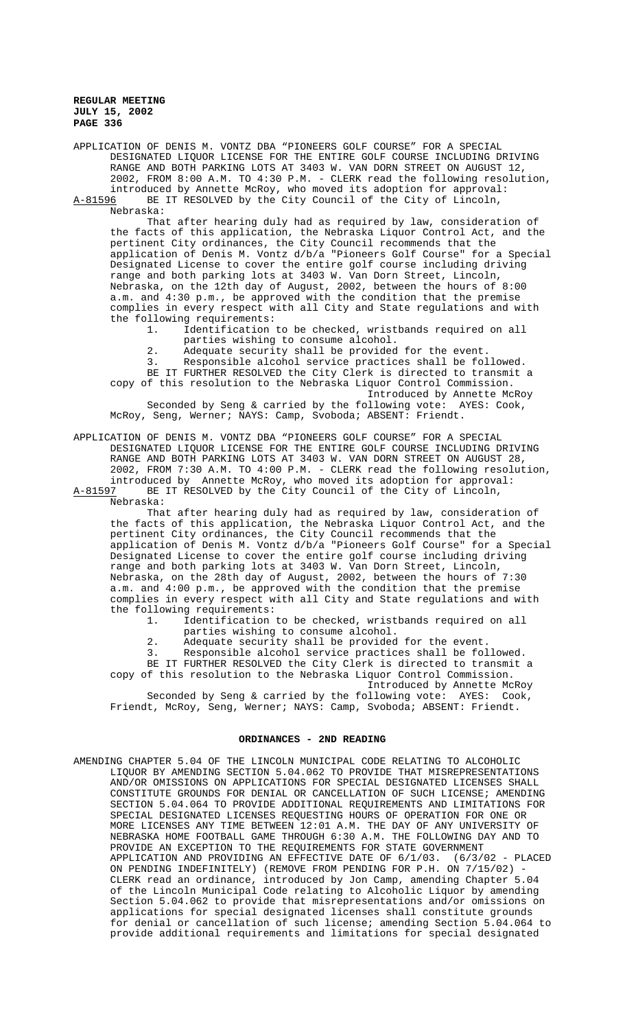APPLICATION OF DENIS M. VONTZ DBA "PIONEERS GOLF COURSE" FOR A SPECIAL DESIGNATED LIQUOR LICENSE FOR THE ENTIRE GOLF COURSE INCLUDING DRIVING RANGE AND BOTH PARKING LOTS AT 3403 W. VAN DORN STREET ON AUGUST 12, 2002, FROM 8:00 A.M. TO 4:30 P.M. - CLERK read the following resolution, introduced by Annette McRoy, who moved its adoption for approval: A-81596 BE IT RESOLVED by the City Council of the City of Lincoln,

Nebraska:

That after hearing duly had as required by law, consideration of the facts of this application, the Nebraska Liquor Control Act, and the pertinent City ordinances, the City Council recommends that the application of Denis M. Vontz d/b/a "Pioneers Golf Course" for a Special Designated License to cover the entire golf course including driving range and both parking lots at 3403 W. Van Dorn Street, Lincoln, Nebraska, on the 12th day of August, 2002, between the hours of 8:00 a.m. and 4:30 p.m., be approved with the condition that the premise complies in every respect with all City and State regulations and with the following requirements:

1. Identification to be checked, wristbands required on all parties wishing to consume alcohol.

2. Adequate security shall be provided for the event.

3. Responsible alcohol service practices shall be followed. BE IT FURTHER RESOLVED the City Clerk is directed to transmit a copy of this resolution to the Nebraska Liquor Control Commission. Introduced by Annette McRoy Seconded by Seng & carried by the following vote: AYES: Cook, McRoy, Seng, Werner; NAYS: Camp, Svoboda; ABSENT: Friendt.

APPLICATION OF DENIS M. VONTZ DBA "PIONEERS GOLF COURSE" FOR A SPECIAL DESIGNATED LIQUOR LICENSE FOR THE ENTIRE GOLF COURSE INCLUDING DRIVING RANGE AND BOTH PARKING LOTS AT 3403 W. VAN DORN STREET ON AUGUST 28, 2002, FROM 7:30 A.M. TO 4:00 P.M. - CLERK read the following resolution, introduced by Annette McRoy, who moved its adoption for approval:

A-81597 BE IT RESOLVED by the City Council of the City of Lincoln, Nebraska:

That after hearing duly had as required by law, consideration of the facts of this application, the Nebraska Liquor Control Act, and the pertinent City ordinances, the City Council recommends that the application of Denis M. Vontz d/b/a "Pioneers Golf Course" for a Special Designated License to cover the entire golf course including driving range and both parking lots at 3403 W. Van Dorn Street, Lincoln, Nebraska, on the 28th day of August, 2002, between the hours of 7:30 a.m. and 4:00 p.m., be approved with the condition that the premise complies in every respect with all City and State regulations and with the following requirements:

1. Identification to be checked, wristbands required on all parties wishing to consume alcohol.

2. Adequate security shall be provided for the event.

3. Responsible alcohol service practices shall be followed. BE IT FURTHER RESOLVED the City Clerk is directed to transmit a copy of this resolution to the Nebraska Liquor Control Commission. Introduced by Annette McRoy

Seconded by Seng & carried by the following vote: AYES: Cook, Friendt, McRoy, Seng, Werner; NAYS: Camp, Svoboda; ABSENT: Friendt.

#### **ORDINANCES - 2ND READING**

AMENDING CHAPTER 5.04 OF THE LINCOLN MUNICIPAL CODE RELATING TO ALCOHOLIC LIQUOR BY AMENDING SECTION 5.04.062 TO PROVIDE THAT MISREPRESENTATIONS AND/OR OMISSIONS ON APPLICATIONS FOR SPECIAL DESIGNATED LICENSES SHALL CONSTITUTE GROUNDS FOR DENIAL OR CANCELLATION OF SUCH LICENSE; AMENDING SECTION 5.04.064 TO PROVIDE ADDITIONAL REQUIREMENTS AND LIMITATIONS FOR SPECIAL DESIGNATED LICENSES REQUESTING HOURS OF OPERATION FOR ONE OR MORE LICENSES ANY TIME BETWEEN 12:01 A.M. THE DAY OF ANY UNIVERSITY OF NEBRASKA HOME FOOTBALL GAME THROUGH 6:30 A.M. THE FOLLOWING DAY AND TO PROVIDE AN EXCEPTION TO THE REQUIREMENTS FOR STATE GOVERNMENT APPLICATION AND PROVIDING AN EFFECTIVE DATE OF 6/1/03. (6/3/02 - PLACED ON PENDING INDEFINITELY) (REMOVE FROM PENDING FOR P.H. ON 7/15/02) - CLERK read an ordinance, introduced by Jon Camp, amending Chapter 5.04 of the Lincoln Municipal Code relating to Alcoholic Liquor by amending Section 5.04.062 to provide that misrepresentations and/or omissions on applications for special designated licenses shall constitute grounds for denial or cancellation of such license; amending Section 5.04.064 to provide additional requirements and limitations for special designated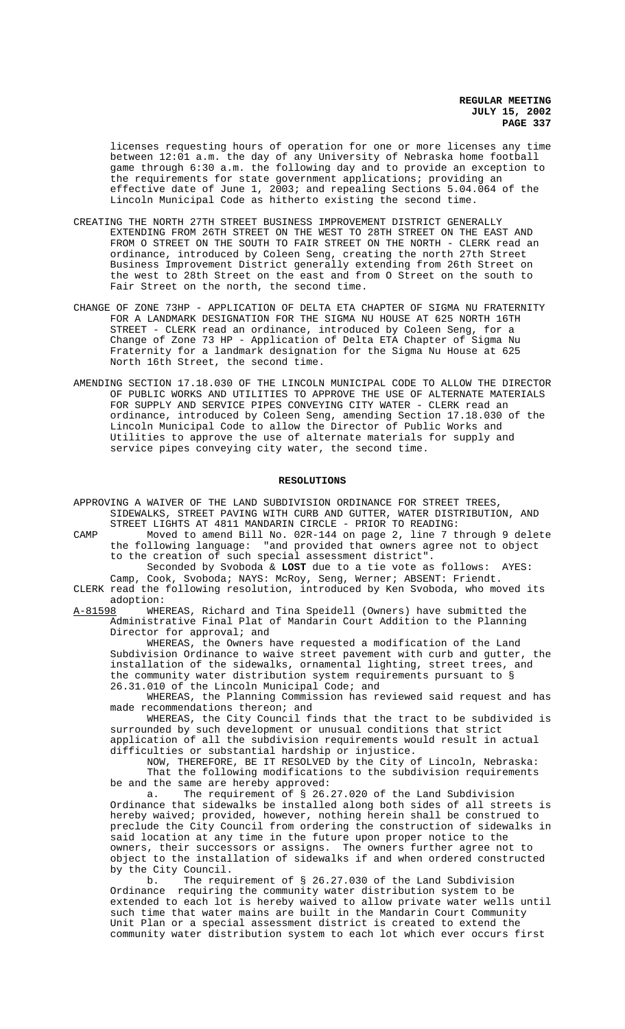licenses requesting hours of operation for one or more licenses any time between 12:01 a.m. the day of any University of Nebraska home football game through 6:30 a.m. the following day and to provide an exception to the requirements for state government applications; providing an effective date of June 1, 2003; and repealing Sections 5.04.064 of the Lincoln Municipal Code as hitherto existing the second time.

- CREATING THE NORTH 27TH STREET BUSINESS IMPROVEMENT DISTRICT GENERALLY EXTENDING FROM 26TH STREET ON THE WEST TO 28TH STREET ON THE EAST AND FROM O STREET ON THE SOUTH TO FAIR STREET ON THE NORTH - CLERK read an ordinance, introduced by Coleen Seng, creating the north 27th Street Business Improvement District generally extending from 26th Street on the west to 28th Street on the east and from O Street on the south to Fair Street on the north, the second time.
- CHANGE OF ZONE 73HP APPLICATION OF DELTA ETA CHAPTER OF SIGMA NU FRATERNITY FOR A LANDMARK DESIGNATION FOR THE SIGMA NU HOUSE AT 625 NORTH 16TH STREET - CLERK read an ordinance, introduced by Coleen Seng, for a Change of Zone 73 HP - Application of Delta ETA Chapter of Sigma Nu Fraternity for a landmark designation for the Sigma Nu House at 625 North 16th Street, the second time.
- AMENDING SECTION 17.18.030 OF THE LINCOLN MUNICIPAL CODE TO ALLOW THE DIRECTOR OF PUBLIC WORKS AND UTILITIES TO APPROVE THE USE OF ALTERNATE MATERIALS FOR SUPPLY AND SERVICE PIPES CONVEYING CITY WATER - CLERK read an ordinance, introduced by Coleen Seng, amending Section 17.18.030 of the Lincoln Municipal Code to allow the Director of Public Works and Utilities to approve the use of alternate materials for supply and service pipes conveying city water, the second time.

### **RESOLUTIONS**

- APPROVING A WAIVER OF THE LAND SUBDIVISION ORDINANCE FOR STREET TREES, SIDEWALKS, STREET PAVING WITH CURB AND GUTTER, WATER DISTRIBUTION, AND STREET LIGHTS AT 4811 MANDARIN CIRCLE - PRIOR TO READING:
- CAMP Moved to amend Bill No. 02R-144 on page 2, line 7 through 9 delete the following language: "and provided that owners agree not to object to the creation of such special assessment district".

Seconded by Svoboda & **LOST** due to a tie vote as follows: AYES: Camp, Cook, Svoboda; NAYS: McRoy, Seng, Werner; ABSENT: Friendt. CLERK read the following resolution, introduced by Ken Svoboda, who moved its

adoption:<br>A-81598 WHE WHEREAS, Richard and Tina Speidell (Owners) have submitted the Administrative Final Plat of Mandarin Court Addition to the Planning

Director for approval; and WHEREAS, the Owners have requested a modification of the Land Subdivision Ordinance to waive street pavement with curb and gutter, the installation of the sidewalks, ornamental lighting, street trees, and the community water distribution system requirements pursuant to § 26.31.010 of the Lincoln Municipal Code; and

WHEREAS, the Planning Commission has reviewed said request and has made recommendations thereon; and

WHEREAS, the City Council finds that the tract to be subdivided is surrounded by such development or unusual conditions that strict application of all the subdivision requirements would result in actual difficulties or substantial hardship or injustice.

NOW, THEREFORE, BE IT RESOLVED by the City of Lincoln, Nebraska: That the following modifications to the subdivision requirements be and the same are hereby approved:<br>a. The requirement of § 26.

The requirement of § 26.27.020 of the Land Subdivision Ordinance that sidewalks be installed along both sides of all streets is hereby waived; provided, however, nothing herein shall be construed to preclude the City Council from ordering the construction of sidewalks in said location at any time in the future upon proper notice to the owners, their successors or assigns. The owners further agree not to object to the installation of sidewalks if and when ordered constructed by the City Council.<br>b. The requ

b. The requirement of § 26.27.030 of the Land Subdivision<br>Ordinance requiring the community water distribution system to be requiring the community water distribution system to be extended to each lot is hereby waived to allow private water wells until such time that water mains are built in the Mandarin Court Community Unit Plan or a special assessment district is created to extend the community water distribution system to each lot which ever occurs first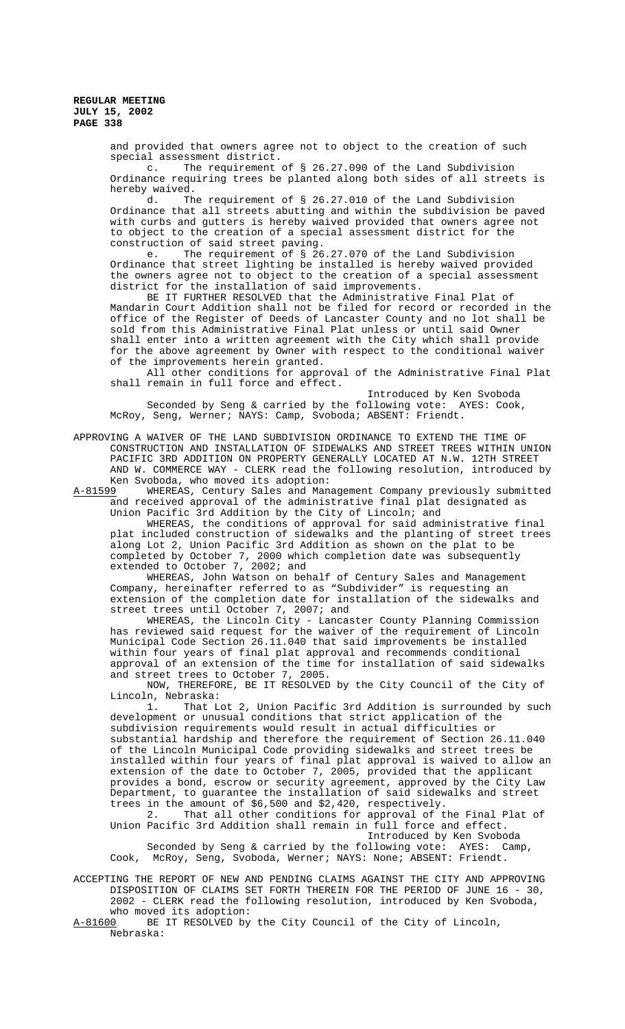> and provided that owners agree not to object to the creation of such special assessment district.

c. The requirement of § 26.27.090 of the Land Subdivision Ordinance requiring trees be planted along both sides of all streets is hereby waived.

d. The requirement of § 26.27.010 of the Land Subdivision Ordinance that all streets abutting and within the subdivision be paved with curbs and gutters is hereby waived provided that owners agree not to object to the creation of a special assessment district for the construction of said street paving.<br>e. The requirement of § 26

The requirement of  $\S$  26.27.070 of the Land Subdivision Ordinance that street lighting be installed is hereby waived provided the owners agree not to object to the creation of a special assessment district for the installation of said improvements.

BE IT FURTHER RESOLVED that the Administrative Final Plat of Mandarin Court Addition shall not be filed for record or recorded in the office of the Register of Deeds of Lancaster County and no lot shall be sold from this Administrative Final Plat unless or until said Owner shall enter into a written agreement with the City which shall provide for the above agreement by Owner with respect to the conditional waiver of the improvements herein granted.

All other conditions for approval of the Administrative Final Plat shall remain in full force and effect.

Introduced by Ken Svoboda Seconded by Seng & carried by the following vote: AYES: Cook, McRoy, Seng, Werner; NAYS: Camp, Svoboda; ABSENT: Friendt.

APPROVING A WAIVER OF THE LAND SUBDIVISION ORDINANCE TO EXTEND THE TIME OF CONSTRUCTION AND INSTALLATION OF SIDEWALKS AND STREET TREES WITHIN UNION PACIFIC 3RD ADDITION ON PROPERTY GENERALLY LOCATED AT N.W. 12TH STREET AND W. COMMERCE WAY - CLERK read the following resolution, introduced by Ken Svoboda, who moved its adoption:

A-81599 WHEREAS, Century Sales and Management Company previously submitted and received approval of the administrative final plat designated as Union Pacific 3rd Addition by the City of Lincoln; and

WHEREAS, the conditions of approval for said administrative final plat included construction of sidewalks and the planting of street trees along Lot 2, Union Pacific 3rd Addition as shown on the plat to be completed by October 7, 2000 which completion date was subsequently extended to October 7, 2002; and

WHEREAS, John Watson on behalf of Century Sales and Management Company, hereinafter referred to as "Subdivider" is requesting an extension of the completion date for installation of the sidewalks and street trees until October 7, 2007; and

WHEREAS, the Lincoln City - Lancaster County Planning Commission has reviewed said request for the waiver of the requirement of Lincoln Municipal Code Section 26.11.040 that said improvements be installed within four years of final plat approval and recommends conditional approval of an extension of the time for installation of said sidewalks and street trees to October 7, 2005.

NOW, THEREFORE, BE IT RESOLVED by the City Council of the City of Lincoln, Nebraska:

1. That Lot 2, Union Pacific 3rd Addition is surrounded by such development or unusual conditions that strict application of the subdivision requirements would result in actual difficulties or substantial hardship and therefore the requirement of Section 26.11.040 of the Lincoln Municipal Code providing sidewalks and street trees be installed within four years of final plat approval is waived to allow an extension of the date to October 7, 2005, provided that the applicant provides a bond, escrow or security agreement, approved by the City Law Department, to guarantee the installation of said sidewalks and street trees in the amount of \$6,500 and \$2,420, respectively.

2. That all other conditions for approval of the Final Plat of Union Pacific 3rd Addition shall remain in full force and effect. Introduced by Ken Svoboda

Seconded by Seng & carried by the following vote: AYES: Camp, Cook, McRoy, Seng, Svoboda, Werner; NAYS: None; ABSENT: Friendt.

ACCEPTING THE REPORT OF NEW AND PENDING CLAIMS AGAINST THE CITY AND APPROVING DISPOSITION OF CLAIMS SET FORTH THEREIN FOR THE PERIOD OF JUNE 16 - 30, 2002 - CLERK read the following resolution, introduced by Ken Svoboda, who moved its adoption:<br>A-81600 BE IT RESOLVED by

BE IT RESOLVED by the City Council of the City of Lincoln, Nebraska: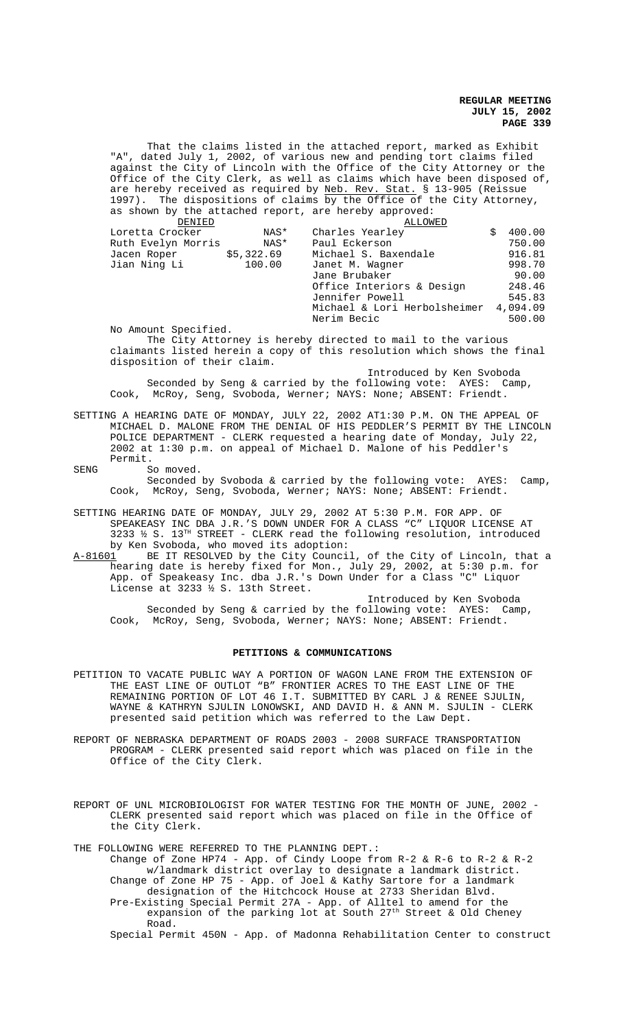"A", dated July 1, 2002, of various new and pending tort claims filed against the City of Lincoln with the Office of the City Attorney or the Office of the City Clerk, as well as claims which have been disposed of, are hereby received as required by <u>Neb. Rev. Stat.</u> § 13-905 (Reissue 1997). The dispositions of claims by the Office of the City Attorney, as shown by the attached report, are hereby approved: <u>DENIED</u> ALLOWED<br>Loretta Crocker MAS\* Charles Yearley Loretta Crocker NAS\* Charles Yearley \$ 400.00 Ruth Evelyn Morris NAS\* Paul Eckerson 750.00 Jacen Roper  $$5,322.69$  Michael S. Baxendale  $$916.81$ <br>Jian Ning Li  $100.00$  Janet M. Wagner  $$998.70$ Janet M. Wagner 998.70<br>Jane Brubaker 90.00 Jane Brubaker Office Interiors & Design 248.46 Jennifer Powell 545.83 Michael & Lori Herbolsheimer 4,094.09 Nerim Becic 500.00 No Amount Specified. The City Attorney is hereby directed to mail to the various claimants listed herein a copy of this resolution which shows the final disposition of their claim. Introduced by Ken Svoboda Seconded by Seng & carried by the following vote: AYES: Camp, Cook, McRoy, Seng, Svoboda, Werner; NAYS: None; ABSENT: Friendt. SETTING A HEARING DATE OF MONDAY, JULY 22, 2002 AT1:30 P.M. ON THE APPEAL OF MICHAEL D. MALONE FROM THE DENIAL OF HIS PEDDLER'S PERMIT BY THE LINCOLN POLICE DEPARTMENT - CLERK requested a hearing date of Monday, July 22, 2002 at 1:30 p.m. on appeal of Michael D. Malone of his Peddler's Permit. SENG So moved. Seconded by Svoboda & carried by the following vote: AYES: Camp, Cook, McRoy, Seng, Svoboda, Werner; NAYS: None; ABSENT: Friendt. SETTING HEARING DATE OF MONDAY, JULY 29, 2002 AT 5:30 P.M. FOR APP. OF SPEAKEASY INC DBA J.R.'S DOWN UNDER FOR A CLASS "C" LIQUOR LICENSE AT 3233  $\frac{1}{2}$  S. 13<sup>TH</sup> STREET - CLERK read the following resolution, introduced by Ken Svoboda, who moved its adoption:<br>A-81601 BE IT RESOLVED by the City Counci A-81601 BE IT RESOLVED by the City Council, of the City of Lincoln, that a hearing date is hereby fixed for Mon., July 29, 2002, at 5:30 p.m. for App. of Speakeasy Inc. dba J.R.'s Down Under for a Class "C" Liquor License at 3233 ½ S. 13th Street.

That the claims listed in the attached report, marked as Exhibit

Introduced by Ken Svoboda Seconded by Seng & carried by the following vote: AYES: Camp, Cook, McRoy, Seng, Svoboda, Werner; NAYS: None; ABSENT: Friendt.

# **PETITIONS & COMMUNICATIONS**

- PETITION TO VACATE PUBLIC WAY A PORTION OF WAGON LANE FROM THE EXTENSION OF THE EAST LINE OF OUTLOT "B" FRONTIER ACRES TO THE EAST LINE OF THE REMAINING PORTION OF LOT 46 I.T. SUBMITTED BY CARL J & RENEE SJULIN, WAYNE & KATHRYN SJULIN LONOWSKI, AND DAVID H. & ANN M. SJULIN - CLERK presented said petition which was referred to the Law Dept.
- REPORT OF NEBRASKA DEPARTMENT OF ROADS 2003 2008 SURFACE TRANSPORTATION PROGRAM - CLERK presented said report which was placed on file in the Office of the City Clerk.
- REPORT OF UNL MICROBIOLOGIST FOR WATER TESTING FOR THE MONTH OF JUNE, 2002 CLERK presented said report which was placed on file in the Office of the City Clerk.

THE FOLLOWING WERE REFERRED TO THE PLANNING DEPT.:

Road.

Change of Zone HP74 - App. of Cindy Loope from R-2 & R-6 to R-2 & R-2 w/landmark district overlay to designate a landmark district. Change of Zone HP 75 - App. of Joel & Kathy Sartore for a landmark designation of the Hitchcock House at 2733 Sheridan Blvd. Pre-Existing Special Permit 27A - App. of Alltel to amend for the expansion of the parking lot at South 27<sup>th</sup> Street & Old Cheney

Special Permit 450N - App. of Madonna Rehabilitation Center to construct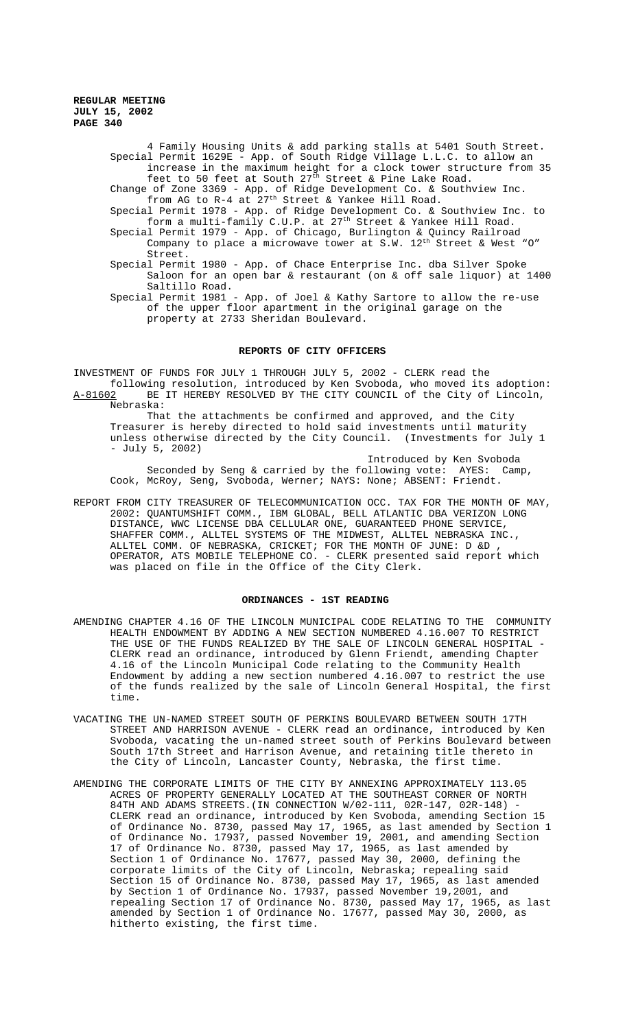4 Family Housing Units & add parking stalls at 5401 South Street. Special Permit 1629E - App. of South Ridge Village L.L.C. to allow an increase in the maximum height for a clock tower structure from 35

- feet to 50 feet at South  $27^{\text{th}}$  Street & Pine Lake Road. Change of Zone 3369 - App. of Ridge Development Co. & Southview Inc. from AG to R-4 at 27th Street & Yankee Hill Road.
- Special Permit 1978 App. of Ridge Development Co. & Southview Inc. to form a multi-family C.U.P. at 27<sup>th</sup> Street & Yankee Hill Road. Special Permit 1979 - App. of Chicago, Burlington & Quincy Railroad
	- Company to place a microwave tower at S.W.  $12^{\text{th}}$  Street & West "O" Street.
- Special Permit 1980 App. of Chace Enterprise Inc. dba Silver Spoke Saloon for an open bar & restaurant (on & off sale liquor) at 1400 Saltillo Road.

Special Permit 1981 - App. of Joel & Kathy Sartore to allow the re-use of the upper floor apartment in the original garage on the property at 2733 Sheridan Boulevard.

# **REPORTS OF CITY OFFICERS**

INVESTMENT OF FUNDS FOR JULY 1 THROUGH JULY 5, 2002 - CLERK read the following resolution, introduced by Ken Svoboda, who moved its adoption: A-81602 BE IT HEREBY RESOLVED BY THE CITY COUNCIL of the City of Lincoln, Nebraska:

That the attachments be confirmed and approved, and the City Treasurer is hereby directed to hold said investments until maturity<br>unless otherwise directed by the City Council. (Investments for July 1 unless otherwise directed by the City Council. - July 5, 2002)

Introduced by Ken Svoboda Seconded by Seng & carried by the following vote: AYES: Camp, Cook, McRoy, Seng, Svoboda, Werner; NAYS: None; ABSENT: Friendt.

REPORT FROM CITY TREASURER OF TELECOMMUNICATION OCC. TAX FOR THE MONTH OF MAY, 2002: QUANTUMSHIFT COMM., IBM GLOBAL, BELL ATLANTIC DBA VERIZON LONG DISTANCE, WWC LICENSE DBA CELLULAR ONE, GUARANTEED PHONE SERVICE, SHAFFER COMM., ALLTEL SYSTEMS OF THE MIDWEST, ALLTEL NEBRASKA INC., ALLTEL COMM. OF NEBRASKA, CRICKET; FOR THE MONTH OF JUNE: D &D , OPERATOR, ATS MOBILE TELEPHONE CO. - CLERK presented said report which was placed on file in the Office of the City Clerk.

#### **ORDINANCES - 1ST READING**

- AMENDING CHAPTER 4.16 OF THE LINCOLN MUNICIPAL CODE RELATING TO THE COMMUNITY HEALTH ENDOWMENT BY ADDING A NEW SECTION NUMBERED 4.16.007 TO RESTRICT THE USE OF THE FUNDS REALIZED BY THE SALE OF LINCOLN GENERAL HOSPITAL - CLERK read an ordinance, introduced by Glenn Friendt, amending Chapter 4.16 of the Lincoln Municipal Code relating to the Community Health Endowment by adding a new section numbered 4.16.007 to restrict the use of the funds realized by the sale of Lincoln General Hospital, the first time.
- VACATING THE UN-NAMED STREET SOUTH OF PERKINS BOULEVARD BETWEEN SOUTH 17TH STREET AND HARRISON AVENUE - CLERK read an ordinance, introduced by Ken Svoboda, vacating the un-named street south of Perkins Boulevard between South 17th Street and Harrison Avenue, and retaining title thereto in the City of Lincoln, Lancaster County, Nebraska, the first time.
- AMENDING THE CORPORATE LIMITS OF THE CITY BY ANNEXING APPROXIMATELY 113.05 ACRES OF PROPERTY GENERALLY LOCATED AT THE SOUTHEAST CORNER OF NORTH 84TH AND ADAMS STREETS.(IN CONNECTION W/02-111, 02R-147, 02R-148) CLERK read an ordinance, introduced by Ken Svoboda, amending Section 15 of Ordinance No. 8730, passed May 17, 1965, as last amended by Section 1 of Ordinance No. 17937, passed November 19, 2001, and amending Section 17 of Ordinance No. 8730, passed May 17, 1965, as last amended by Section 1 of Ordinance No. 17677, passed May 30, 2000, defining the corporate limits of the City of Lincoln, Nebraska; repealing said Section 15 of Ordinance No. 8730, passed May 17, 1965, as last amended by Section 1 of Ordinance No. 17937, passed November 19,2001, and repealing Section 17 of Ordinance No. 8730, passed May 17, 1965, as last amended by Section 1 of Ordinance No. 17677, passed May 30, 2000, as hitherto existing, the first time.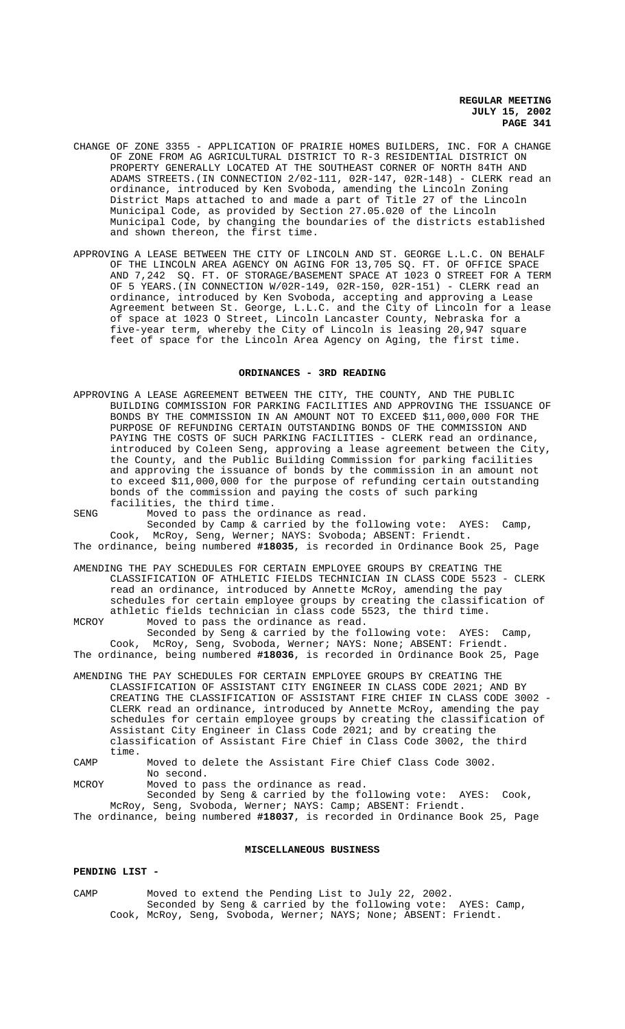- CHANGE OF ZONE 3355 APPLICATION OF PRAIRIE HOMES BUILDERS, INC. FOR A CHANGE OF ZONE FROM AG AGRICULTURAL DISTRICT TO R-3 RESIDENTIAL DISTRICT ON PROPERTY GENERALLY LOCATED AT THE SOUTHEAST CORNER OF NORTH 84TH AND ADAMS STREETS.(IN CONNECTION 2/02-111, 02R-147, 02R-148) - CLERK read an ordinance, introduced by Ken Svoboda, amending the Lincoln Zoning District Maps attached to and made a part of Title 27 of the Lincoln Municipal Code, as provided by Section 27.05.020 of the Lincoln Municipal Code, by changing the boundaries of the districts established and shown thereon, the first time.
- APPROVING A LEASE BETWEEN THE CITY OF LINCOLN AND ST. GEORGE L.L.C. ON BEHALF OF THE LINCOLN AREA AGENCY ON AGING FOR 13,705 SQ. FT. OF OFFICE SPACE AND 7,242 SQ. FT. OF STORAGE/BASEMENT SPACE AT 1023 O STREET FOR A TERM OF 5 YEARS.(IN CONNECTION W/02R-149, 02R-150, 02R-151) - CLERK read an ordinance, introduced by Ken Svoboda, accepting and approving a Lease Agreement between St. George, L.L.C. and the City of Lincoln for a lease of space at 1023 O Street, Lincoln Lancaster County, Nebraska for a five-year term, whereby the City of Lincoln is leasing 20,947 square feet of space for the Lincoln Area Agency on Aging, the first time.

### **ORDINANCES - 3RD READING**

APPROVING A LEASE AGREEMENT BETWEEN THE CITY, THE COUNTY, AND THE PUBLIC BUILDING COMMISSION FOR PARKING FACILITIES AND APPROVING THE ISSUANCE OF BONDS BY THE COMMISSION IN AN AMOUNT NOT TO EXCEED \$11,000,000 FOR THE PURPOSE OF REFUNDING CERTAIN OUTSTANDING BONDS OF THE COMMISSION AND PAYING THE COSTS OF SUCH PARKING FACILITIES - CLERK read an ordinance introduced by Coleen Seng, approving a lease agreement between the City, the County, and the Public Building Commission for parking facilities and approving the issuance of bonds by the commission in an amount not to exceed \$11,000,000 for the purpose of refunding certain outstanding bonds of the commission and paying the costs of such parking facilities, the third time.

SENG Moved to pass the ordinance as read.

Seconded by Camp & carried by the following vote: AYES: Camp, Cook, McRoy, Seng, Werner; NAYS: Svoboda; ABSENT: Friendt.

The ordinance, being numbered **#18035**, is recorded in Ordinance Book 25, Page

AMENDING THE PAY SCHEDULES FOR CERTAIN EMPLOYEE GROUPS BY CREATING THE CLASSIFICATION OF ATHLETIC FIELDS TECHNICIAN IN CLASS CODE 5523 - CLERK read an ordinance, introduced by Annette McRoy, amending the pay schedules for certain employee groups by creating the classification of athletic fields technician in class code 5523, the third time. MCROY Moved to pass the ordinance as read.

Seconded by Seng & carried by the following vote: AYES: Camp, Cook, McRoy, Seng, Svoboda, Werner; NAYS: None; ABSENT: Friendt. The ordinance, being numbered **#18036**, is recorded in Ordinance Book 25, Page

AMENDING THE PAY SCHEDULES FOR CERTAIN EMPLOYEE GROUPS BY CREATING THE CLASSIFICATION OF ASSISTANT CITY ENGINEER IN CLASS CODE 2021; AND BY CREATING THE CLASSIFICATION OF ASSISTANT FIRE CHIEF IN CLASS CODE 3002 - CLERK read an ordinance, introduced by Annette McRoy, amending the pay schedules for certain employee groups by creating the classification of Assistant City Engineer in Class Code 2021; and by creating the classification of Assistant Fire Chief in Class Code 3002, the third time.

CAMP Moved to delete the Assistant Fire Chief Class Code 3002. No second.

MCROY Moved to pass the ordinance as read.

Seconded by Seng & carried by the following vote: AYES: Cook, McRoy, Seng, Svoboda, Werner; NAYS: Camp; ABSENT: Friendt.

The ordinance, being numbered **#18037**, is recorded in Ordinance Book 25, Page

# **MISCELLANEOUS BUSINESS**

#### **PENDING LIST -**

CAMP Moved to extend the Pending List to July 22, 2002. Seconded by Seng & carried by the following vote: AYES: Camp, Cook, McRoy, Seng, Svoboda, Werner; NAYS; None; ABSENT: Friendt.